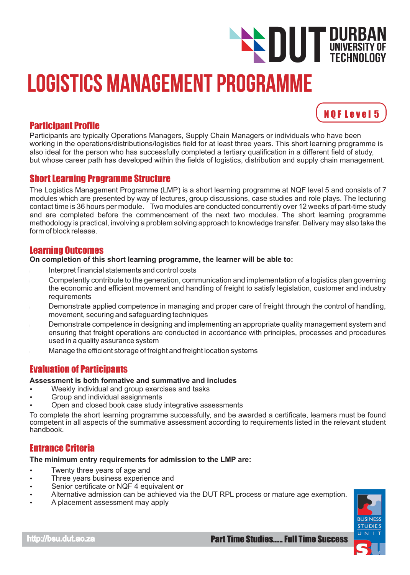# Logistics Management Programme **DUT DURBAN**<br>TECHNOLOGY TECHNOLOGY

# Participant Profile

Participants are typically Operations Managers, Supply Chain Managers or individuals who have been working in the operations/distributions/logistics field for at least three years. This short learning programme is also ideal for the person who has successfully completed a tertiary qualification in a different field of study, but whose career path has developed within the fields of logistics, distribution and supply chain management.

# Short Learning Programme Structure

The Logistics Management Programme (LMP) is a short learning programme at NQF level 5 and consists of 7 modules which are presented by way of lectures, group discussions, case studies and role plays. The lecturing contact time is 36 hours per module. Two modules are conducted concurrently over 12 weeks of part-time study and are completed before the commencement of the next two modules. The short learning programme methodology is practical, involving a problem solving approach to knowledge transfer. Delivery may also take the form of block release.

# Learning Outcomes

#### **On completion of this short learning programme, the learner will be able to:**

- Interpret financial statements and control costs l
- Competently contribute to the generation, communication and implementation of a logistics plan governing the economic and efficient movement and handling of freight to satisfy legislation, customer and industry requirements l
- Demonstrate applied competence in managing and proper care of freight through the control of handling, movement, securing and safeguarding techniques l
- Demonstrate competence in designing and implementing an appropriate quality management system and ensuring that freight operations are conducted in accordance with principles, processes and procedures used in a quality assurance system l
- Manage the efficient storage of freight and freight location systems l

# Evaluation of Participants

#### **Assessment is both formative and summative and includes**

- Weekly individual and group exercises and tasks
- Group and individual assignments
- Open and closed book case study integrative assessments

To complete the short learning programme successfully, and be awarded a certificate, learners must be found competent in all aspects of the summative assessment according to requirements listed in the relevant student handbook.

# Entrance Criteria

**The minimum entry requirements for admission to the LMP are:** 

- Twenty three years of age and
- Three years business experience and
- Senior certificate or NQF 4 equivalent **or**
- Alternative admission can be achieved via the DUT RPL process or mature age exemption.
- A placement assessment may apply



N Q F L e v e l 5